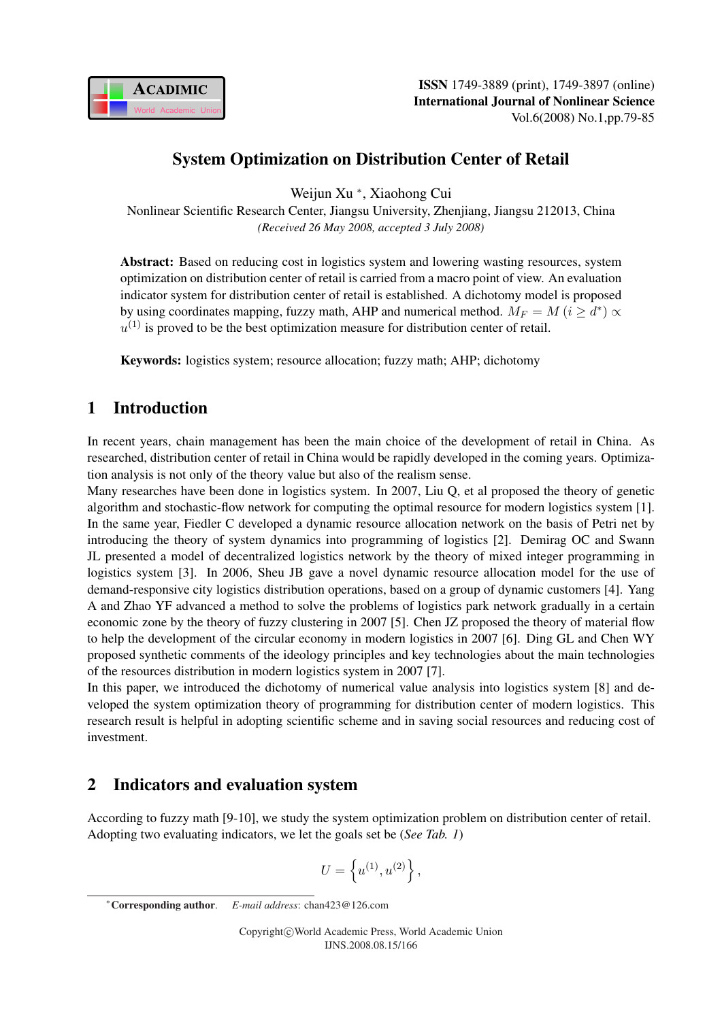

# System Optimization on Distribution Center of Retail

Weijun Xu <sup>∗</sup> , Xiaohong Cui

Nonlinear Scientific Research Center, Jiangsu University, Zhenjiang, Jiangsu 212013, China *(Received 26 May 2008, accepted 3 July 2008)*

Abstract: Based on reducing cost in logistics system and lowering wasting resources, system optimization on distribution center of retail is carried from a macro point of view. An evaluation indicator system for distribution center of retail is established. A dichotomy model is proposed by using coordinates mapping, fuzzy math, AHP and numerical method.  $M_F = M$   $(i \ge d^*) \propto$  $u^{(1)}$  is proved to be the best optimization measure for distribution center of retail.

Keywords: logistics system; resource allocation; fuzzy math; AHP; dichotomy

## 1 Introduction

In recent years, chain management has been the main choice of the development of retail in China. As researched, distribution center of retail in China would be rapidly developed in the coming years. Optimization analysis is not only of the theory value but also of the realism sense.

Many researches have been done in logistics system. In 2007, Liu Q, et al proposed the theory of genetic algorithm and stochastic-flow network for computing the optimal resource for modern logistics system [1]. In the same year, Fiedler C developed a dynamic resource allocation network on the basis of Petri net by introducing the theory of system dynamics into programming of logistics [2]. Demirag OC and Swann JL presented a model of decentralized logistics network by the theory of mixed integer programming in logistics system [3]. In 2006, Sheu JB gave a novel dynamic resource allocation model for the use of demand-responsive city logistics distribution operations, based on a group of dynamic customers [4]. Yang A and Zhao YF advanced a method to solve the problems of logistics park network gradually in a certain economic zone by the theory of fuzzy clustering in 2007 [5]. Chen JZ proposed the theory of material flow to help the development of the circular economy in modern logistics in 2007 [6]. Ding GL and Chen WY proposed synthetic comments of the ideology principles and key technologies about the main technologies of the resources distribution in modern logistics system in 2007 [7].

In this paper, we introduced the dichotomy of numerical value analysis into logistics system [8] and developed the system optimization theory of programming for distribution center of modern logistics. This research result is helpful in adopting scientific scheme and in saving social resources and reducing cost of investment.

# 2 Indicators and evaluation system

According to fuzzy math [9-10], we study the system optimization problem on distribution center of retail. Adopting two evaluating indicators, we let the goals set be (*See Tab. 1*)

$$
U = \left\{ u^{(1)}, u^{(2)} \right\},\,
$$

<sup>∗</sup>Corresponding author. *E-mail address*: chan423@126.com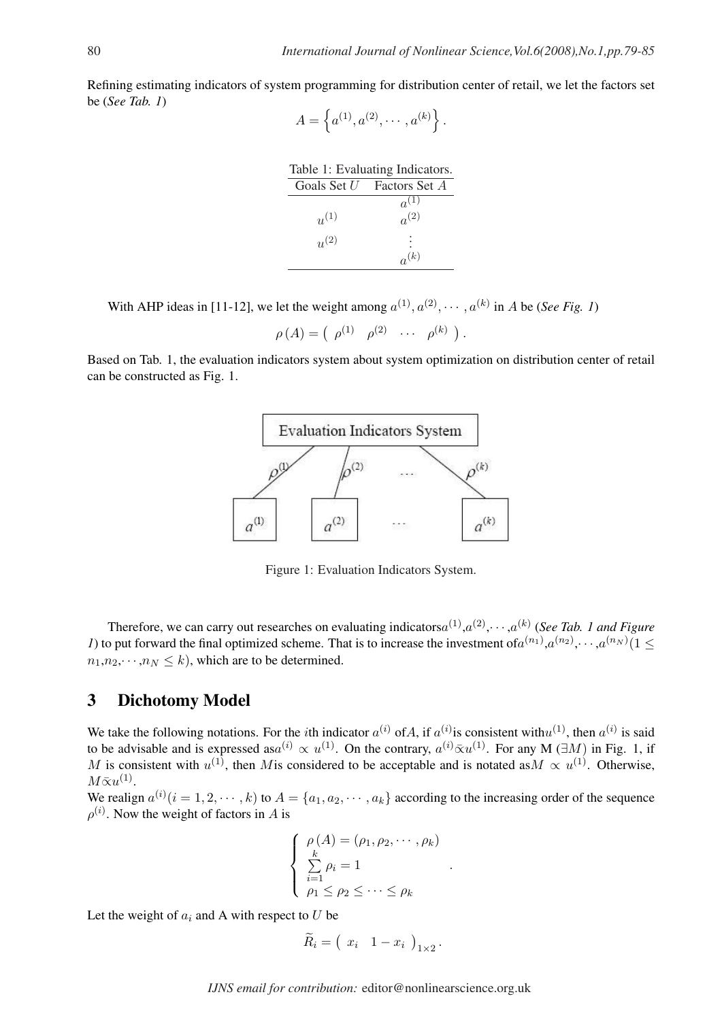Refining estimating indicators of system programming for distribution center of retail, we let the factors set be (*See Tab. 1*) n o

 $A =$  $a^{(1)}, a^{(2)}, \cdots, a^{(k)}$ .

| Table 1: Evaluating Indicators. |                           |  |  |  |  |
|---------------------------------|---------------------------|--|--|--|--|
|                                 | Goals Set U Factors Set A |  |  |  |  |
|                                 | $a^{(1)}$                 |  |  |  |  |
| $u^{(1)}$                       | $a^{(2)}$                 |  |  |  |  |
| $u^{(2)}$                       |                           |  |  |  |  |
|                                 | $a^{(k)}$                 |  |  |  |  |

With AHP ideas in [11-12], we let the weight among  $a^{(1)}, a^{(2)}, \dots, a^{(k)}$  in A be (*See Fig. 1*)

 $\rho(A) = ( \begin{array}{cccc} \rho^{(1)} & \rho^{(2)} & \cdots & \rho^{(k)} \end{array})$ .

Based on Tab. 1, the evaluation indicators system about system optimization on distribution center of retail can be constructed as Fig. 1.



Figure 1: Evaluation Indicators System.

Therefore, we can carry out researches on evaluating indicators $a^{(1)}, a^{(2)}, \cdots, a^{(k)}$  (*See Tab. 1 and Figure 1*) to put forward the final optimized scheme. That is to increase the investment of  $a^{(n_1)}$ ,  $a^{(n_2)}$ ,  $\cdots$ ,  $a^{(n_N)}$  (1  $\leq$  $n_1, n_2, \dots, n_N \leq k$ , which are to be determined.

## 3 Dichotomy Model

We take the following notations. For the *i*th indicator  $a^{(i)}$  of A, if  $a^{(i)}$  is consistent with  $u^{(1)}$ , then  $a^{(i)}$  is said to be advisable and is expressed as $a^{(i)} \propto u^{(1)}$ . On the contrary,  $a^{(i)} \bar{\propto} u^{(1)}$ . For any M ( $\exists M$ ) in Fig. 1, if M is consistent with  $u^{(1)}$ , then Mis considered to be acceptable and is notated as  $M \propto u^{(1)}$ . Otherwise,  $M\bar{\propto}u^{(1)}$ .

We realign  $a^{(i)}$   $(i = 1, 2, \dots, k)$  to  $A = \{a_1, a_2, \dots, a_k\}$  according to the increasing order of the sequence  $\rho^{(i)}$ . Now the weight of factors in A is

$$
\begin{cases}\n\rho(A) = (\rho_1, \rho_2, \cdots, \rho_k) \\
\sum_{i=1}^k \rho_i = 1 \\
\rho_1 \le \rho_2 \le \cdots \le \rho_k\n\end{cases}
$$

.

Let the weight of  $a_i$  and A with respect to U be

$$
\widetilde{R}_i = \left( x_i \quad 1 - x_i \right)_{1 \times 2}.
$$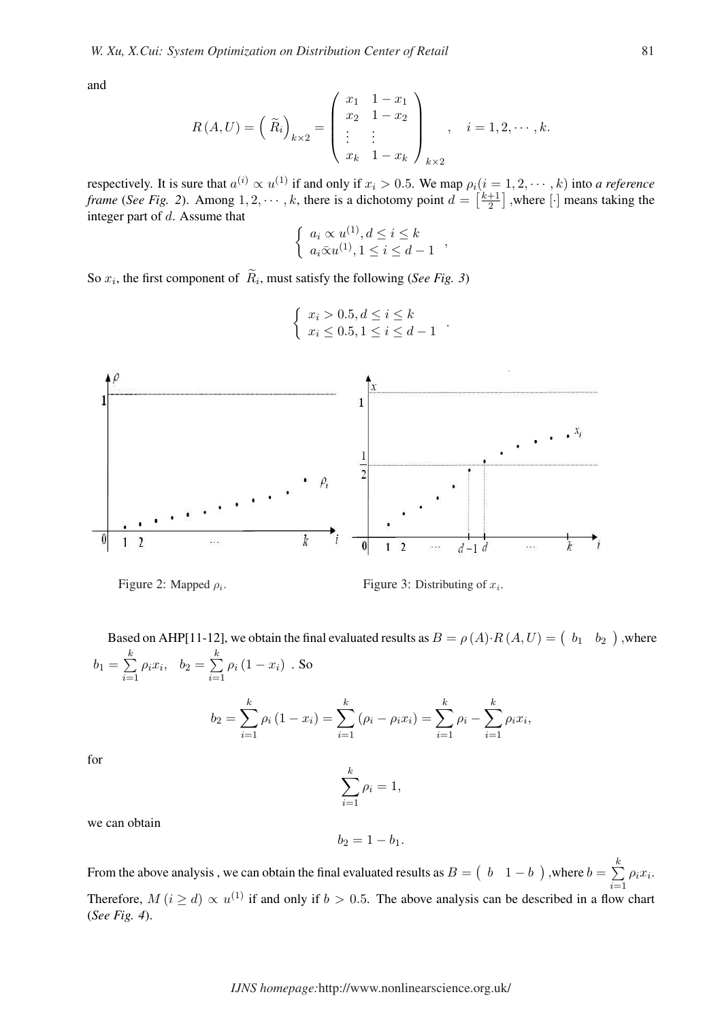and

$$
R(A, U) = \left(\begin{array}{c} \widetilde{R}_i \end{array}\right)_{k \times 2} = \left(\begin{array}{ccc} x_1 & 1 - x_1 \\ x_2 & 1 - x_2 \\ \vdots & \vdots \\ x_k & 1 - x_k \end{array}\right)_{k \times 2}, \quad i = 1, 2, \cdots, k.
$$

respectively. It is sure that  $a^{(i)} \propto u^{(1)}$  if and only if  $x_i > 0.5$ . We map  $\rho_i (i = 1, 2, \dots, k)$  into *a reference frame* (*See Fig. 2*). Among  $1, 2, \dots, k$ , there is a dichotomy point  $d =$  $i(i = \n\overline{1})$ 2 .<br>⊤ ,where [·] means taking the integer part of d. Assume that ½

$$
\begin{cases} a_i \propto u^{(1)}, d \leq i \leq k \\ a_i \bar{\infty} u^{(1)}, 1 \leq i \leq d - 1 \end{cases}
$$

,

.

So  $x_i$ , the first component of  $\tilde{R}_i$ , must satisfy the following (*See Fig. 3*)



$$
\begin{cases} x_i > 0.5, d \le i \le k \\ x_i \le 0.5, 1 \le i \le d - 1 \end{cases}
$$

Figure 2: Mapped  $\rho_i$ .

 $\text{Figure 3: Distributing of } x_i.$ 

Based on AHP[11-12], we obtain the final evaluated results as  $B = \rho(A) \cdot R(A, U) = \begin{pmatrix} b_1 & b_2 \end{pmatrix}$ ¢ ,where  $b_1 =$  $\stackrel{k}{\leftarrow}$  $i=1$  $\rho_i x_i$ ,  $b_2 =$  $\stackrel{k}{\longleftarrow}$  $i=1$  $\rho_i\left(1-x_i\right)$  . So

$$
b_2 = \sum_{i=1}^k \rho_i (1 - x_i) = \sum_{i=1}^k (\rho_i - \rho_i x_i) = \sum_{i=1}^k \rho_i - \sum_{i=1}^k \rho_i x_i,
$$

for

$$
\sum_{i=1}^{k} \rho_i = 1,
$$

we can obtain

$$
b_2=1-b_1.
$$

From the above analysis, we can obtain the final evaluated results as  $B =$ ¡ b  $1-b$ ¢ ,where  $b =$  $\stackrel{k}{\longleftarrow}$  $i=1$  $\rho_i x_i$ . Therefore,  $M(i \geq d) \propto u^{(1)}$  if and only if  $b > 0.5$ . The above analysis can be described in a flow chart (*See Fig. 4*).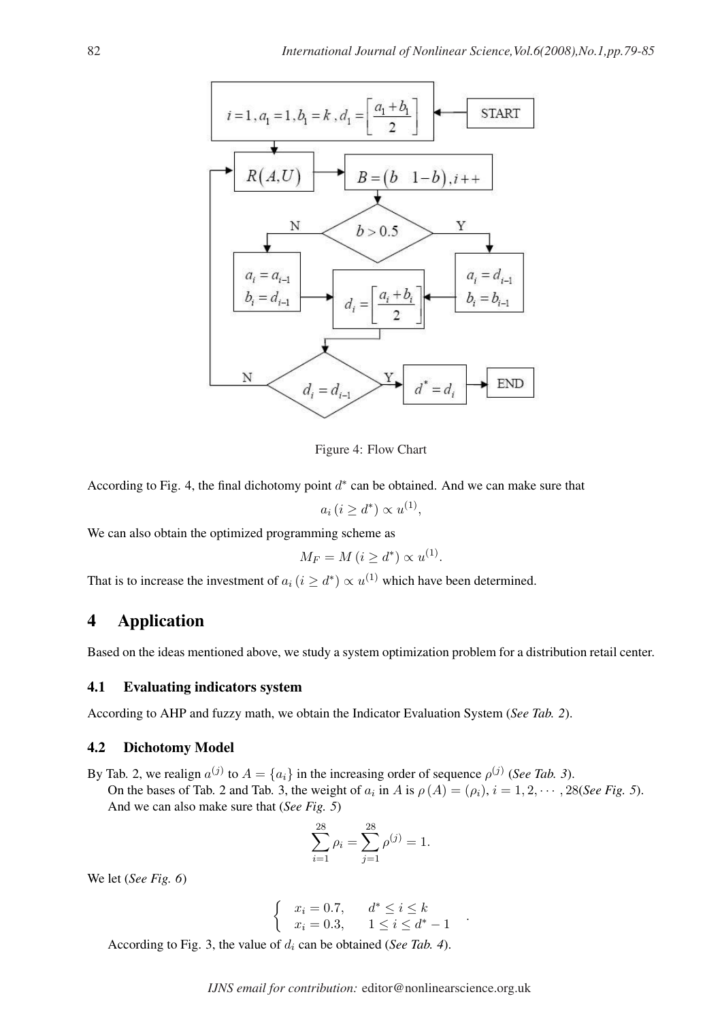

Figure 4: Flow Chart

According to Fig. 4, the final dichotomy point  $d^*$  can be obtained. And we can make sure that

 $a_i (i \geq d^*) \propto u^{(1)},$ 

We can also obtain the optimized programming scheme as

$$
M_F = M (i \ge d^*) \propto u^{(1)}.
$$

That is to increase the investment of  $a_i$  ( $i \geq d^*$ )  $\propto u^{(1)}$  which have been determined.

# 4 Application

Based on the ideas mentioned above, we study a system optimization problem for a distribution retail center.

#### 4.1 Evaluating indicators system

According to AHP and fuzzy math, we obtain the Indicator Evaluation System (*See Tab. 2*).

#### 4.2 Dichotomy Model

By Tab. 2, we realign  $a^{(j)}$  to  $A = \{a_i\}$  in the increasing order of sequence  $\rho^{(j)}$  (*See Tab. 3*). On the bases of Tab. 2 and Tab. 3, the weight of  $a_i$  in A is  $\rho(A) = (\rho_i)$ ,  $i = 1, 2, \dots, 28$ (*See Fig. 5*). And we can also make sure that (*See Fig. 5*)

$$
\sum_{i=1}^{28} \rho_i = \sum_{j=1}^{28} \rho^{(j)} = 1.
$$

We let (*See Fig. 6*)

$$
\begin{cases}\n x_i = 0.7, & d^* \le i \le k \\
 x_i = 0.3, & 1 \le i \le d^* - 1\n\end{cases}
$$

.

According to Fig. 3, the value of  $d_i$  can be obtained (*See Tab. 4*).

*IJNS email for contribution:* editor@nonlinearscience.org.uk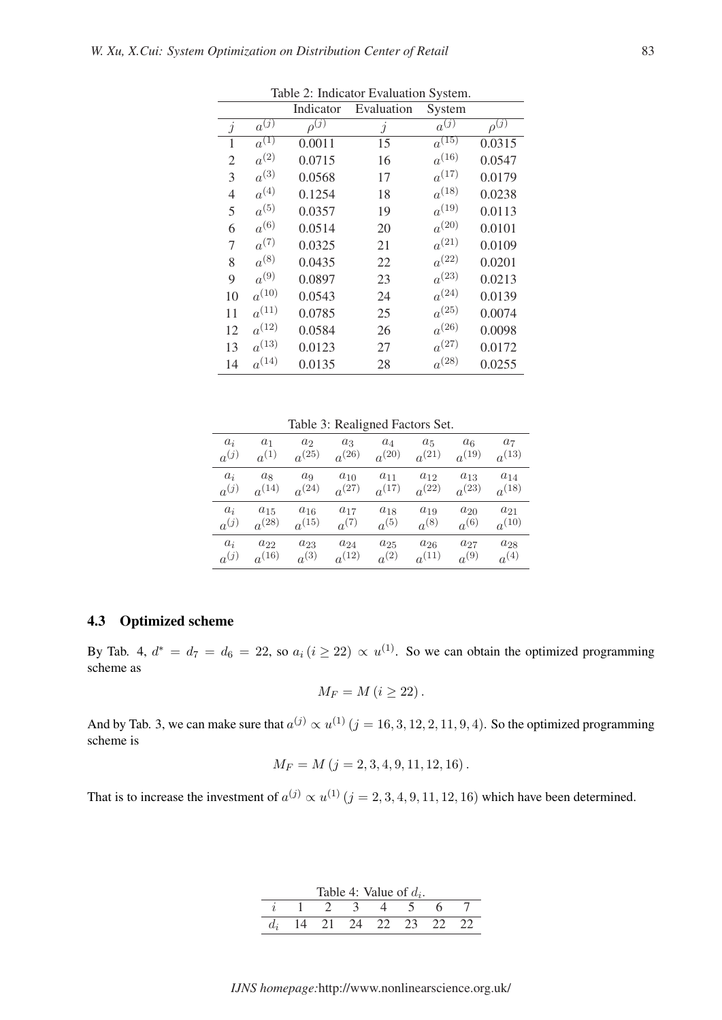|                |                      | Indicator               | Evaluation | System                |                         |
|----------------|----------------------|-------------------------|------------|-----------------------|-------------------------|
| $\dot{j}$      | $a^{(\overline{j})}$ | $\rho^{(\overline{j})}$ | j          | $a^{(\overline{j})}$  | $\rho^{(\overline{j})}$ |
| 1              | $\overline{a^{(1)}}$ | 0.0011                  | 15         | $a^{\overline{(15)}}$ | 0.0315                  |
| $\mathfrak{2}$ | $a^{(2)}$            | 0.0715                  | 16         | $a^{(16)}$            | 0.0547                  |
| 3              | $a^{(3)}$            | 0.0568                  | 17         | $a^{(17)}$            | 0.0179                  |
| $\overline{4}$ | $a^{(4)}$            | 0.1254                  | 18         | $a^{(18)}$            | 0.0238                  |
| 5              | $a^{(5)}$            | 0.0357                  | 19         | $a^{(19)}$            | 0.0113                  |
| 6              | $a^{(6)}$            | 0.0514                  | 20         | $a^{(20)}$            | 0.0101                  |
| 7              | $a^{(7)}$            | 0.0325                  | 21         | $a^{(21)}$            | 0.0109                  |
| 8              | $a^{(8)}$            | 0.0435                  | 22         | $a^{(22)}$            | 0.0201                  |
| 9              | $a^{(9)}$            | 0.0897                  | 23         | $a^{(23)}$            | 0.0213                  |
| 10             | $a^{(10)}$           | 0.0543                  | 24         | $a^{(24)}$            | 0.0139                  |
| 11             | $a^{(11)}$           | 0.0785                  | 25         | $a^{(25)}$            | 0.0074                  |
| 12             | $a^{(12)}$           | 0.0584                  | 26         | $a^{(26)}$            | 0.0098                  |
| 13             | $a^{(13)}$           | 0.0123                  | 27         | $a^{(27)}$            | 0.0172                  |
| 14             | $a^{(14)}$           | 0.0135                  | 28         | $a^{(28)}$            | 0.0255                  |

Table 2: Indicator Evaluation System.

Table 3: Realigned Factors Set.

| $a_i$     | $a_1$      | $a_2$          | $a_3$      | $a_4$      | $a_5$      | $a_6$      | a <sub>7</sub> |
|-----------|------------|----------------|------------|------------|------------|------------|----------------|
| $a^{(j)}$ | $a^{(1)}$  | $a^{(25)}$     | $a^{(26)}$ | $a^{(20)}$ | $a^{(21)}$ | $a^{(19)}$ | $a^{(13)}$     |
| $a_i$     | $a_8$      | a <sub>9</sub> | $a_{10}$   | $a_{11}$   | $a_{12}$   | $a_{13}$   | $a_{14}$       |
| $a^{(j)}$ | $a^{(14)}$ | $a^{(24)}$     | $a^{(27)}$ | $a^{(17)}$ | $a^{(22)}$ | $a^{(23)}$ | $a^{(18)}$     |
| $a_i$     | $a_{15}$   | $a_{16}$       | $a_{17}$   | $a_{18}$   | $a_{19}$   | $a_{20}$   | $a_{21}$       |
| $a^{(j)}$ | $a^{(28)}$ | $a^{(15)}$     | $a^{(7)}$  | $a^{(5)}$  | $a^{(8)}$  | $a^{(6)}$  | $a^{(10)}$     |
| $a_i$     | $a_{22}$   | $a_{23}$       | $a_{24}$   | $a_{25}$   | $a_{26}$   | $a_{27}$   | $a_{28}$       |
| $a^{(j)}$ | $a^{(16)}$ | $a^{(3)}$      | $a^{(12)}$ | $a^{(2)}$  | $a^{(11)}$ | $a^{(9)}$  | $a^{(4)}$      |

#### 4.3 Optimized scheme

By Tab. 4,  $d^* = d_7 = d_6 = 22$ , so  $a_i (i \geq 22) \propto u^{(1)}$ . So we can obtain the optimized programming scheme as

$$
M_F = M (i \ge 22).
$$

And by Tab. 3, we can make sure that  $a^{(j)} \propto u^{(1)}$   $(j = 16, 3, 12, 2, 11, 9, 4)$ . So the optimized programming scheme is

$$
M_F = M (j = 2, 3, 4, 9, 11, 12, 16).
$$

That is to increase the investment of  $a^{(j)} \propto u^{(1)}$   $(j = 2, 3, 4, 9, 11, 12, 16)$  which have been determined.

| Table 4: Value of $d_i$ . |  |  |        |               |        |                     |  |
|---------------------------|--|--|--------|---------------|--------|---------------------|--|
|                           |  |  |        |               |        |                     |  |
|                           |  |  | $\eta$ | $\mathcal{L}$ | $23 -$ | $\cdot$ ) $\cdot$ ) |  |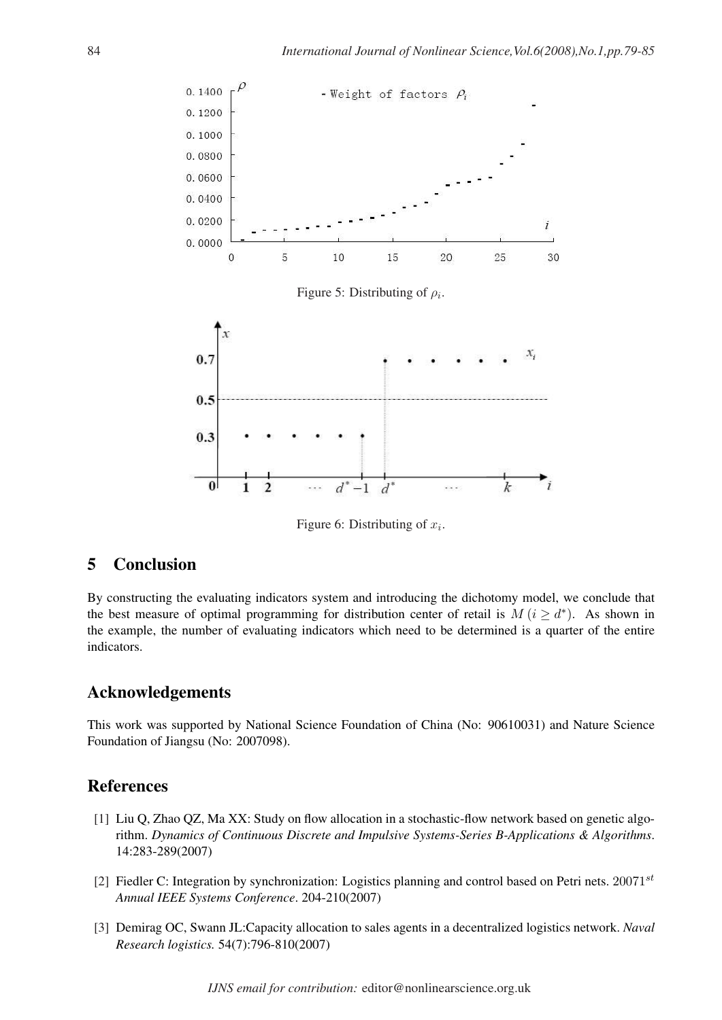

Figure 6: Distributing of  $x_i$ .

## 5 Conclusion

By constructing the evaluating indicators system and introducing the dichotomy model, we conclude that the best measure of optimal programming for distribution center of retail is  $M(i \geq d^*)$ . As shown in the example, the number of evaluating indicators which need to be determined is a quarter of the entire indicators.

### Acknowledgements

This work was supported by National Science Foundation of China (No: 90610031) and Nature Science Foundation of Jiangsu (No: 2007098).

### References

- [1] Liu Q, Zhao QZ, Ma XX: Study on flow allocation in a stochastic-flow network based on genetic algorithm. *Dynamics of Continuous Discrete and Impulsive Systems-Series B-Applications & Algorithms*. 14:283-289(2007)
- [2] Fiedler C: Integration by synchronization: Logistics planning and control based on Petri nets.  $20071^{st}$ *Annual IEEE Systems Conference*. 204-210(2007)
- [3] Demirag OC, Swann JL:Capacity allocation to sales agents in a decentralized logistics network. *Naval Research logistics.* 54(7):796-810(2007)